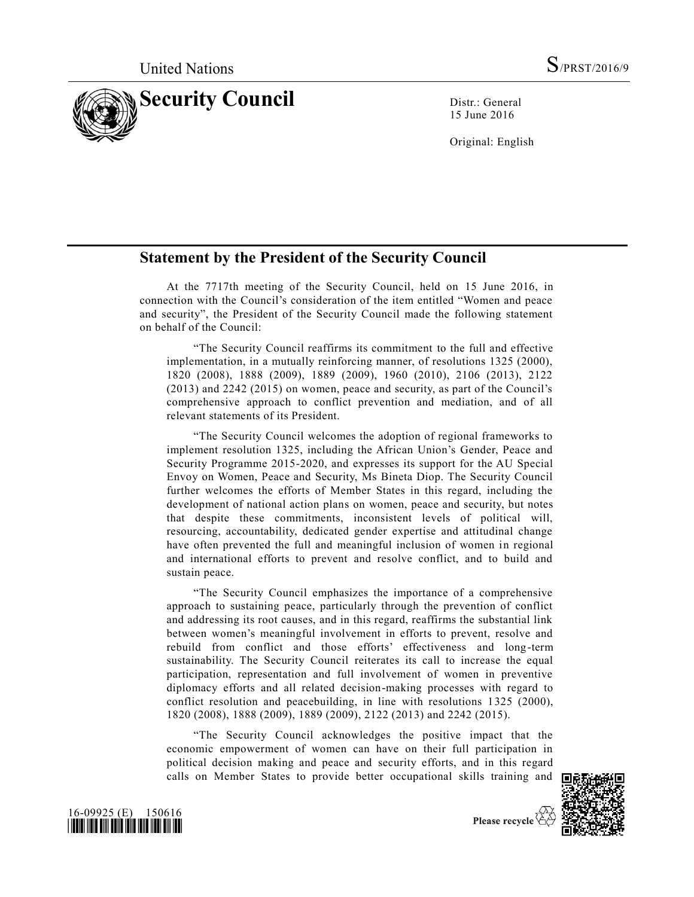

15 June 2016

Original: English

## **Statement by the President of the Security Council**

At the 7717th meeting of the Security Council, held on 15 June 2016, in connection with the Council's consideration of the item entitled "Women and peace and security", the President of the Security Council made the following statement on behalf of the Council:

"The Security Council reaffirms its commitment to the full and effective implementation, in a mutually reinforcing manner, of resolutions 1325 (2000), 1820 (2008), 1888 (2009), 1889 (2009), 1960 (2010), 2106 (2013), 2122 (2013) and 2242 (2015) on women, peace and security, as part of the Council's comprehensive approach to conflict prevention and mediation, and of all relevant statements of its President.

"The Security Council welcomes the adoption of regional frameworks to implement resolution 1325, including the African Union's Gender, Peace and Security Programme 2015-2020, and expresses its support for the AU Special Envoy on Women, Peace and Security, Ms Bineta Diop. The Security Council further welcomes the efforts of Member States in this regard, including the development of national action plans on women, peace and security, but notes that despite these commitments, inconsistent levels of political will, resourcing, accountability, dedicated gender expertise and attitudinal change have often prevented the full and meaningful inclusion of women in regional and international efforts to prevent and resolve conflict, and to build and sustain peace.

"The Security Council emphasizes the importance of a comprehensive approach to sustaining peace, particularly through the prevention of conflict and addressing its root causes, and in this regard, reaffirms the substantial link between women's meaningful involvement in efforts to prevent, resolve and rebuild from conflict and those efforts' effectiveness and long-term sustainability. The Security Council reiterates its call to increase the equal participation, representation and full involvement of women in preventive diplomacy efforts and all related decision-making processes with regard to conflict resolution and peacebuilding, in line with resolutions 1325 (2000), 1820 (2008), 1888 (2009), 1889 (2009), 2122 (2013) and 2242 (2015).

"The Security Council acknowledges the positive impact that the economic empowerment of women can have on their full participation in political decision making and peace and security efforts, and in this regard calls on Member States to provide better occupational skills training and





Please recycle  $\overleftrightarrow{C}$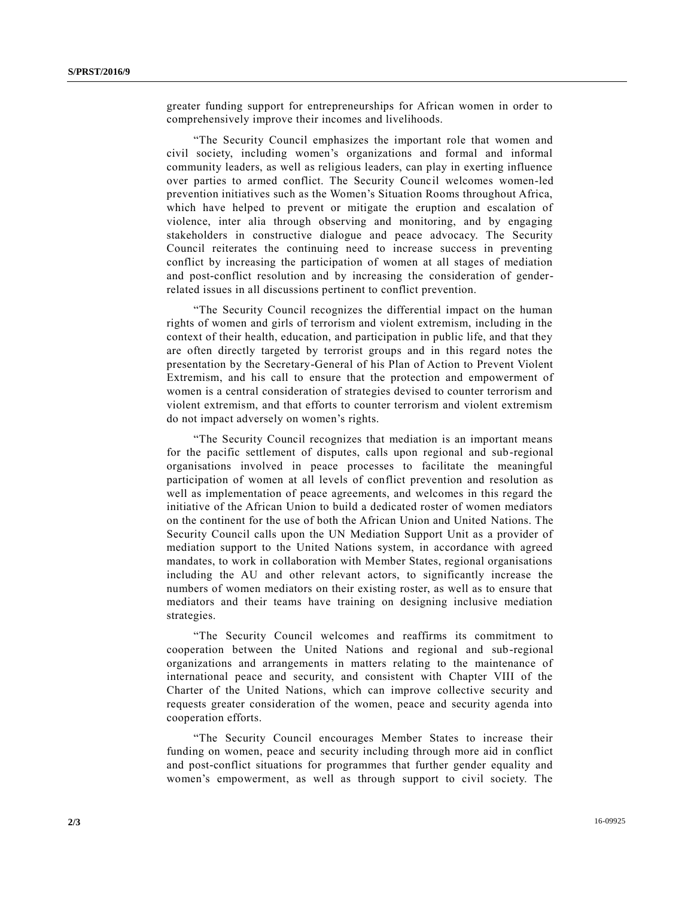greater funding support for entrepreneurships for African women in order to comprehensively improve their incomes and livelihoods.

"The Security Council emphasizes the important role that women and civil society, including women's organizations and formal and informal community leaders, as well as religious leaders, can play in exerting influence over parties to armed conflict. The Security Council welcomes women-led prevention initiatives such as the Women's Situation Rooms throughout Africa, which have helped to prevent or mitigate the eruption and escalation of violence, inter alia through observing and monitoring, and by engaging stakeholders in constructive dialogue and peace advocacy. The Security Council reiterates the continuing need to increase success in preventing conflict by increasing the participation of women at all stages of mediation and post-conflict resolution and by increasing the consideration of genderrelated issues in all discussions pertinent to conflict prevention.

"The Security Council recognizes the differential impact on the human rights of women and girls of terrorism and violent extremism, including in the context of their health, education, and participation in public life, and that they are often directly targeted by terrorist groups and in this regard notes the presentation by the Secretary-General of his Plan of Action to Prevent Violent Extremism, and his call to ensure that the protection and empowerment of women is a central consideration of strategies devised to counter terrorism and violent extremism, and that efforts to counter terrorism and violent extremism do not impact adversely on women's rights.

"The Security Council recognizes that mediation is an important means for the pacific settlement of disputes, calls upon regional and sub-regional organisations involved in peace processes to facilitate the meaningful participation of women at all levels of conflict prevention and resolution as well as implementation of peace agreements, and welcomes in this regard the initiative of the African Union to build a dedicated roster of women mediators on the continent for the use of both the African Union and United Nations. The Security Council calls upon the UN Mediation Support Unit as a provider of mediation support to the United Nations system, in accordance with agreed mandates, to work in collaboration with Member States, regional organisations including the AU and other relevant actors, to significantly increase the numbers of women mediators on their existing roster, as well as to ensure that mediators and their teams have training on designing inclusive mediation strategies.

"The Security Council welcomes and reaffirms its commitment to cooperation between the United Nations and regional and sub-regional organizations and arrangements in matters relating to the maintenance of international peace and security, and consistent with Chapter VIII of the Charter of the United Nations, which can improve collective security and requests greater consideration of the women, peace and security agenda into cooperation efforts.

"The Security Council encourages Member States to increase their funding on women, peace and security including through more aid in conflict and post-conflict situations for programmes that further gender equality and women's empowerment, as well as through support to civil society. The